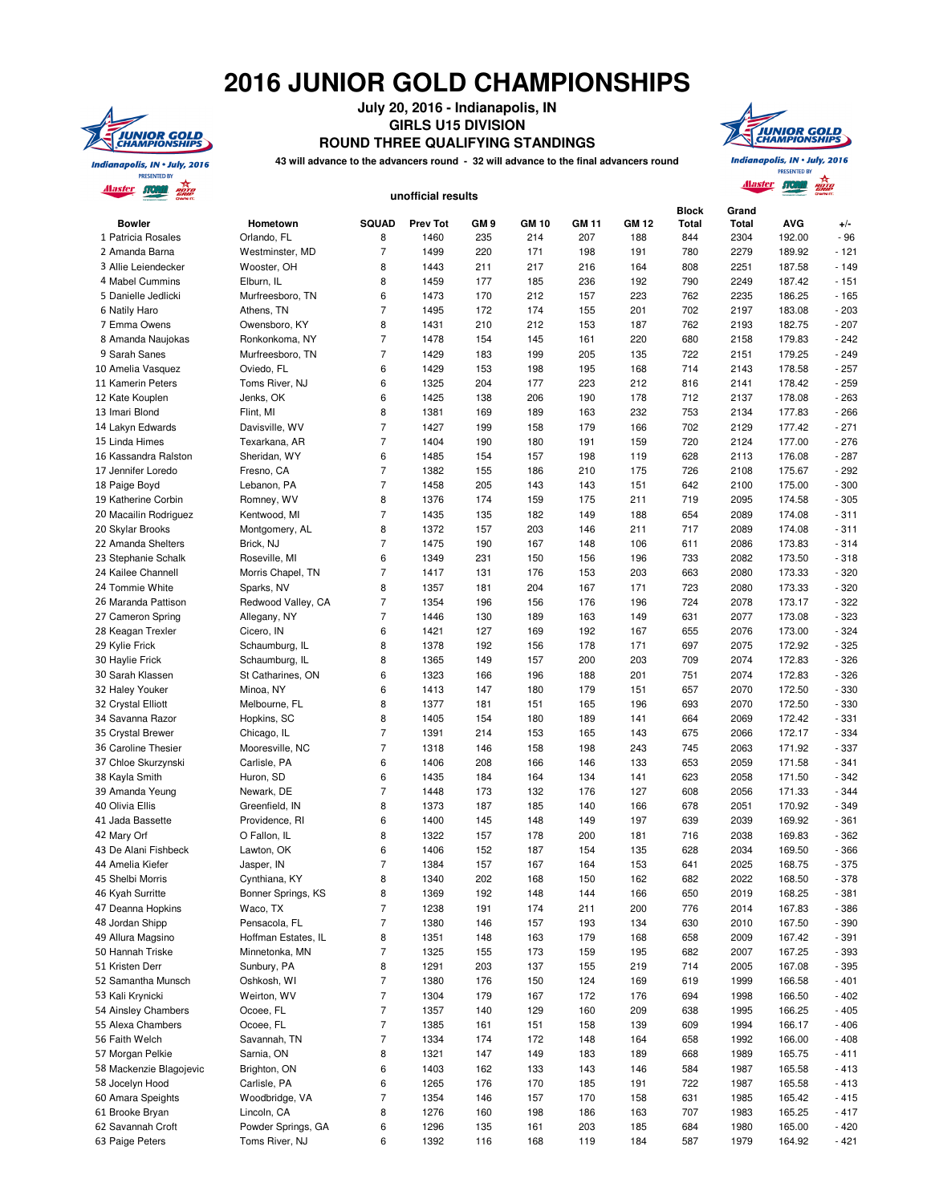## **2016 JUNIOR GOLD CHAMPIONSHIPS**



**July 20, 2016 - Indianapolis, IN GIRLS U15 DIVISION ROUND THREE QUALIFYING STANDINGS**

**43 will advance to the advancers round - 32 will advance to the final advancers round**

Indianapolis, IN . July, 2016 **PRESENTED BY Alaster STORM** Para

**TUNIOR GOLD**<br>CHAMPIONSHIPS

|                                                                                                                                                                    |                                |                                  | unofficial results |                 |              |              |            |                       |                       |                  |                  |
|--------------------------------------------------------------------------------------------------------------------------------------------------------------------|--------------------------------|----------------------------------|--------------------|-----------------|--------------|--------------|------------|-----------------------|-----------------------|------------------|------------------|
| <b>Bowler</b>                                                                                                                                                      | Hometown                       | SQUAD                            | <b>Prev Tot</b>    | GM <sub>9</sub> | <b>GM 10</b> | <b>GM 11</b> | GM 12      | <b>Block</b><br>Total | Grand<br><b>Total</b> | <b>AVG</b>       | $+/-$            |
| 1 Patricia Rosales                                                                                                                                                 | Orlando, FL                    | 8                                | 1460               | 235             | 214          | 207          | 188        | 844                   | 2304                  | 192.00           | $-96$            |
| 2 Amanda Barna                                                                                                                                                     | Westminster, MD                | $\overline{7}$                   | 1499               | 220             | 171          | 198          | 191        | 780                   | 2279                  | 189.92           | $-121$           |
| 3 Allie Leiendecker                                                                                                                                                | Wooster, OH                    | 8                                | 1443               | 211             | 217          | 216          | 164        | 808                   | 2251                  | 187.58           | $-149$           |
| 4 Mabel Cummins<br>5 Danielle Jedlicki                                                                                                                             | Elburn, IL<br>Murfreesboro, TN | 8<br>6                           | 1459<br>1473       | 177<br>170      | 185<br>212   | 236<br>157   | 192<br>223 | 790<br>762            | 2249<br>2235          | 187.42<br>186.25 | $-151$<br>$-165$ |
| 6 Natily Haro                                                                                                                                                      | Athens, TN                     | $\overline{7}$                   | 1495               | 172             | 174          | 155          | 201        | 702                   | 2197                  | 183.08           | $-203$           |
| 7 Emma Owens                                                                                                                                                       | Owensboro, KY                  | 8                                | 1431               | 210             | 212          | 153          | 187        | 762                   | 2193                  | 182.75           | $-207$           |
| 8 Amanda Naujokas                                                                                                                                                  | Ronkonkoma, NY                 | $\overline{7}$                   | 1478               | 154             | 145          | 161          | 220        | 680                   | 2158                  | 179.83           | $-242$           |
| 9 Sarah Sanes                                                                                                                                                      | Murfreesboro, TN               | $\overline{7}$                   | 1429               | 183             | 199          | 205          | 135        | 722                   | 2151                  | 179.25           | $-249$           |
| 10 Amelia Vasquez                                                                                                                                                  | Oviedo, FL                     | 6                                | 1429               | 153             | 198          | 195          | 168        | 714                   | 2143                  | 178.58           | $-257$           |
| 11 Kamerin Peters                                                                                                                                                  | Toms River, NJ                 | 6                                | 1325               | 204             | 177          | 223          | 212        | 816                   | 2141                  | 178.42           | $-259$           |
| 12 Kate Kouplen                                                                                                                                                    | Jenks, OK                      | 6                                | 1425               | 138             | 206          | 190          | 178        | 712                   | 2137                  | 178.08           | $-263$           |
| 13 Imari Blond                                                                                                                                                     | Flint, MI                      | 8                                | 1381               | 169             | 189          | 163          | 232        | 753                   | 2134                  | 177.83           | $-266$           |
| 14 Lakyn Edwards                                                                                                                                                   | Davisville, WV                 | $\overline{7}$                   | 1427               | 199             | 158          | 179          | 166        | 702                   | 2129                  | 177.42           | $-271$           |
| 15 Linda Himes                                                                                                                                                     | Texarkana, AR                  | $\overline{7}$                   | 1404               | 190             | 180          | 191          | 159        | 720                   | 2124                  | 177.00           | $-276$           |
| 16 Kassandra Ralston                                                                                                                                               | Sheridan, WY                   | 6                                | 1485               | 154             | 157          | 198          | 119        | 628                   | 2113                  | 176.08           | $-287$           |
| 17 Jennifer Loredo                                                                                                                                                 | Fresno, CA                     | $\overline{7}$                   | 1382               | 155             | 186          | 210          | 175        | 726                   | 2108                  | 175.67           | $-292$           |
| 18 Paige Boyd                                                                                                                                                      | Lebanon, PA                    | $\overline{7}$                   | 1458               | 205             | 143          | 143          | 151        | 642                   | 2100                  | 175.00           | $-300$           |
| 19 Katherine Corbin                                                                                                                                                | Romney, WV                     | 8                                | 1376               | 174             | 159          | 175          | 211        | 719                   | 2095                  | 174.58           | $-305$           |
| 20 Macailin Rodriguez                                                                                                                                              | Kentwood, MI                   | $\overline{7}$                   | 1435               | 135             | 182          | 149          | 188        | 654                   | 2089                  | 174.08           | $-311$           |
| 20 Skylar Brooks                                                                                                                                                   | Montgomery, AL                 | 8                                | 1372               | 157             | 203          | 146          | 211        | 717                   | 2089                  | 174.08           | $-311$           |
| 22 Amanda Shelters                                                                                                                                                 | Brick, NJ                      | $\overline{7}$                   | 1475               | 190             | 167          | 148          | 106        | 611                   | 2086                  | 173.83           | $-314$           |
| 23 Stephanie Schalk                                                                                                                                                | Roseville, MI                  | 6                                | 1349               | 231             | 150          | 156          | 196        | 733                   | 2082                  | 173.50           | $-318$           |
| 24 Kailee Channell                                                                                                                                                 | Morris Chapel, TN              | $\overline{7}$                   | 1417               | 131             | 176          | 153          | 203        | 663                   | 2080                  | 173.33           | $-320$           |
| 24 Tommie White                                                                                                                                                    | Sparks, NV                     | 8                                | 1357               | 181             | 204          | 167          | 171        | 723                   | 2080                  | 173.33           | $-320$           |
| 26 Maranda Pattison                                                                                                                                                | Redwood Valley, CA             | $\overline{7}$                   | 1354               | 196             | 156          | 176          | 196        | 724                   | 2078                  | 173.17           | $-322$           |
| 27 Cameron Spring                                                                                                                                                  | Allegany, NY                   | $\overline{7}$                   | 1446               | 130             | 189          | 163          | 149        | 631                   | 2077                  | 173.08           | $-323$           |
| 28 Keagan Trexler                                                                                                                                                  | Cicero, IN                     | 6                                | 1421               | 127             | 169          | 192          | 167        | 655                   | 2076                  | 173.00           | $-324$           |
| 29 Kylie Frick                                                                                                                                                     | Schaumburg, IL                 | 8                                | 1378               | 192             | 156          | 178          | 171        | 697                   | 2075                  | 172.92           | $-325$           |
| 30 Haylie Frick                                                                                                                                                    | Schaumburg, IL                 | 8                                | 1365               | 149             | 157          | 200          | 203        | 709                   | 2074                  | 172.83           | $-326$           |
| 30 Sarah Klassen                                                                                                                                                   | St Catharines, ON              | 6                                | 1323               | 166             | 196          | 188          | 201        | 751                   | 2074                  | 172.83           | $-326$           |
| 32 Haley Youker                                                                                                                                                    | Minoa, NY                      | 6                                | 1413               | 147             | 180          | 179          | 151        | 657                   | 2070                  | 172.50           | $-330$           |
| 32 Crystal Elliott                                                                                                                                                 | Melbourne, FL                  | 8                                | 1377               | 181             | 151          | 165          | 196        | 693                   | 2070                  | 172.50           | $-330$           |
| 34 Savanna Razor                                                                                                                                                   | Hopkins, SC                    | 8                                | 1405               | 154             | 180          | 189          | 141        | 664                   | 2069                  | 172.42           | $-331$           |
| 35 Crystal Brewer                                                                                                                                                  | Chicago, IL                    | $\overline{7}$<br>$\overline{7}$ | 1391               | 214             | 153          | 165          | 143        | 675                   | 2066                  | 172.17           | $-334$           |
| 36 Caroline Thesier                                                                                                                                                | Mooresville, NC                |                                  | 1318               | 146             | 158          | 198          | 243        | 745                   | 2063                  | 171.92           | $-337$           |
| 37 Chloe Skurzynski                                                                                                                                                | Carlisle, PA<br>Huron, SD      | 6<br>6                           | 1406<br>1435       | 208<br>184      | 166<br>164   | 146<br>134   | 133<br>141 | 653<br>623            | 2059<br>2058          | 171.58<br>171.50 | $-341$<br>$-342$ |
| 38 Kayla Smith<br>39 Amanda Yeung                                                                                                                                  | Newark, DE                     | $\overline{7}$                   | 1448               | 173             | 132          | 176          | 127        | 608                   | 2056                  | 171.33           | $-344$           |
| 40 Olivia Ellis                                                                                                                                                    | Greenfield, IN                 | 8                                | 1373               | 187             | 185          | 140          | 166        | 678                   | 2051                  | 170.92           | $-349$           |
| 41 Jada Bassette                                                                                                                                                   | Providence, RI                 | 6                                | 1400               | 145             | 148          | 149          | 197        | 639                   | 2039                  | 169.92           | $-361$           |
| 42 Mary Orf                                                                                                                                                        | O Fallon, IL                   | 8                                | 1322               | 157             | 178          | 200          | 181        | 716                   | 2038                  | 169.83           | $-362$           |
| 43 De Alani Fishbeck                                                                                                                                               | Lawton, OK                     | 6                                | 1406               | 152             | 187          | 154          | 135        | 628                   | 2034                  | 169.50           | $-366$           |
| 44 Amelia Kiefer                                                                                                                                                   | Jasper, IN                     | $\overline{7}$                   | 1384               | 157             | 167          | 164          | 153        | 641                   | 2025                  | 168.75           | $-375$           |
| 45 Shelbi Morris                                                                                                                                                   | Cynthiana, KY                  | 8                                | 1340               | 202             | 168          | 150          | 162        | 682                   | 2022                  | 168.50           | $-378$           |
| 46 Kyah Surritte                                                                                                                                                   | Bonner Springs, KS             | 8                                | 1369               | 192             | 148          | 144          | 166        | 650                   | 2019                  | 168.25           | $-381$           |
| 47 Deanna Hopkins                                                                                                                                                  | Waco, TX                       | $\overline{7}$                   | 1238               | 191             | 174          | 211          | 200        | 776                   | 2014                  | 167.83           | - 386            |
| 48 Jordan Shipp                                                                                                                                                    | Pensacola, FL                  | $\overline{7}$                   | 1380               | 146             | 157          | 193          | 134        | 630                   | 2010                  | 167.50           | $-390$           |
| 49 Allura Magsino                                                                                                                                                  | Hoffman Estates, IL            | 8                                | 1351               | 148             | 163          | 179          | 168        | 658                   | 2009                  | 167.42           | $-391$           |
| 50 Hannah Triske                                                                                                                                                   | Minnetonka, MN                 | 7                                | 1325               | 155             | 173          | 159          | 195        | 682                   | 2007                  | 167.25           | - 393            |
| 51 Kristen Derr                                                                                                                                                    | Sunbury, PA                    | 8                                | 1291               | 203             | 137          | 155          | 219        | 714                   | 2005                  | 167.08           | $-395$           |
| 52 Samantha Munsch                                                                                                                                                 | Oshkosh, WI                    | $\overline{7}$                   | 1380               | 176             | 150          | 124          | 169        | 619                   | 1999                  | 166.58           | $-401$           |
| 53 Kali Krynicki                                                                                                                                                   | Weirton, WV                    | $\overline{7}$                   | 1304               | 179             | 167          | 172          | 176        | 694                   | 1998                  | 166.50           | $-402$           |
| 54 Ainsley Chambers                                                                                                                                                | Ocoee, FL                      | $\overline{7}$                   | 1357               | 140             | 129          | 160          | 209        | 638                   | 1995                  | 166.25           | $-405$           |
|                                                                                                                                                                    | Ocoee, FL                      | $\overline{7}$                   | 1385               | 161             | 151          | 158          | 139        | 609                   | 1994                  | 166.17           | $-406$           |
|                                                                                                                                                                    |                                |                                  | 1334               | 174             | 172          | 148          | 164        | 658                   | 1992                  | 166.00           | $-408$           |
|                                                                                                                                                                    | Savannah, TN                   | $\overline{7}$                   |                    |                 |              |              |            |                       |                       |                  |                  |
|                                                                                                                                                                    | Sarnia, ON                     | 8                                | 1321               | 147             | 149          | 183          | 189        | 668                   | 1989                  | 165.75           | $-411$           |
|                                                                                                                                                                    | Brighton, ON                   | 6                                | 1403               | 162             | 133          | 143          | 146        | 584                   | 1987                  | 165.58           | $-413$           |
|                                                                                                                                                                    | Carlisle, PA                   | 6                                | 1265               | 176             | 170          | 185          | 191        | 722                   | 1987                  | 165.58           | $-413$           |
|                                                                                                                                                                    | Woodbridge, VA                 | $\overline{7}$                   | 1354               | 146             | 157          | 170          | 158        | 631                   | 1985                  | 165.42           | $-415$           |
|                                                                                                                                                                    | Lincoln, CA                    | 8                                | 1276               | 160             | 198          | 186          | 163        | 707                   | 1983                  | 165.25           | $-417$           |
| 55 Alexa Chambers<br>56 Faith Welch<br>57 Morgan Pelkie<br>58 Mackenzie Blagojevic<br>58 Jocelyn Hood<br>60 Amara Speights<br>61 Brooke Bryan<br>62 Savannah Croft | Powder Springs, GA             | 6                                | 1296               | 135             | 161          | 203          | 185        | 684                   | 1980                  | 165.00           | $-420$           |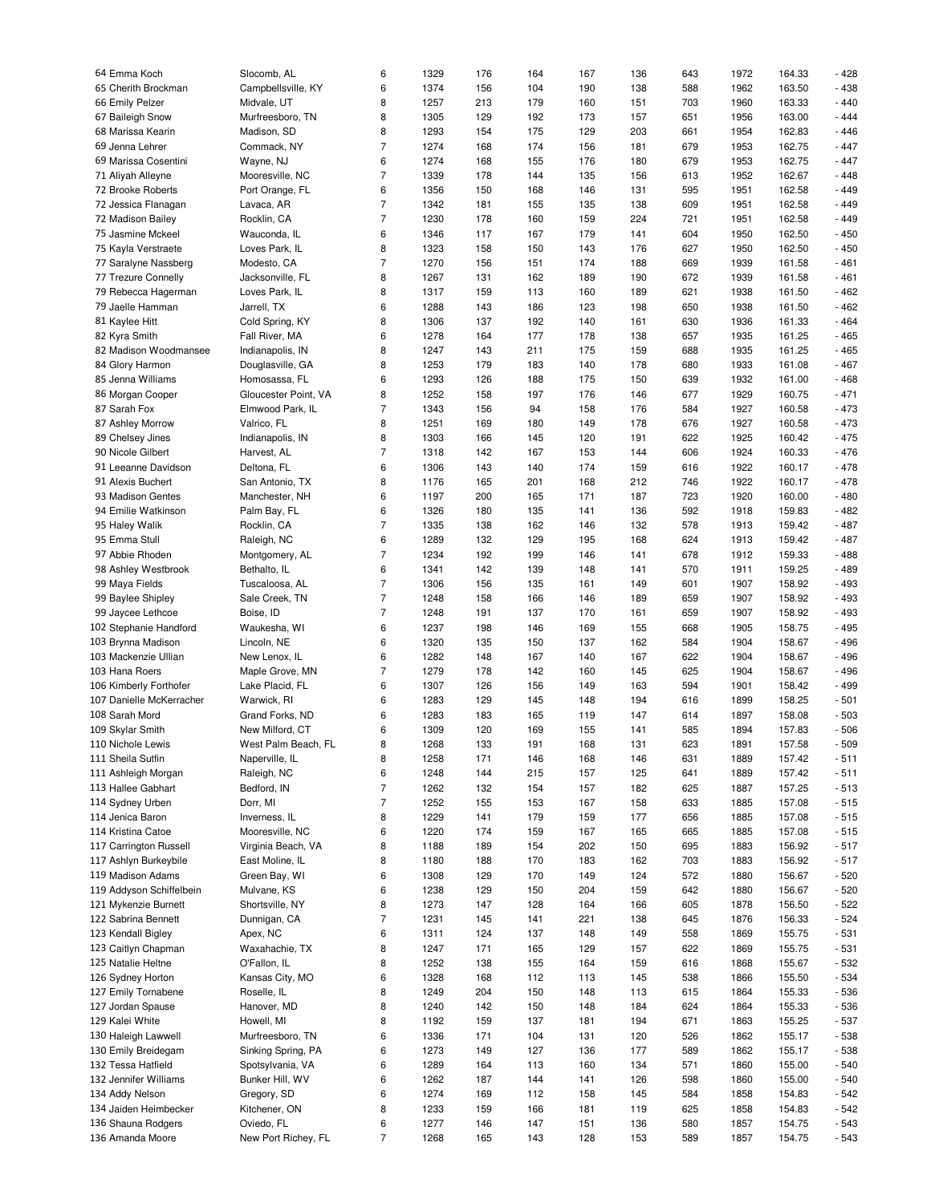| 64 Emma Koch             | Slocomb, AL          | 6              | 1329 | 176 | 164 | 167 | 136 | 643 | 1972 | 164.33 | $-428$ |
|--------------------------|----------------------|----------------|------|-----|-----|-----|-----|-----|------|--------|--------|
|                          |                      |                |      |     |     |     |     |     |      |        |        |
| 65 Cherith Brockman      | Campbellsville, KY   | 6              | 1374 | 156 | 104 | 190 | 138 | 588 | 1962 | 163.50 | $-438$ |
| 66 Emily Pelzer          | Midvale, UT          | 8              | 1257 | 213 | 179 | 160 | 151 | 703 | 1960 | 163.33 | $-440$ |
| 67 Baileigh Snow         | Murfreesboro, TN     | 8              | 1305 | 129 | 192 | 173 | 157 | 651 | 1956 | 163.00 | $-444$ |
|                          |                      |                |      |     |     |     |     |     |      |        |        |
| 68 Marissa Kearin        | Madison, SD          | 8              | 1293 | 154 | 175 | 129 | 203 | 661 | 1954 | 162.83 | $-446$ |
| 69 Jenna Lehrer          | Commack, NY          | $\overline{7}$ | 1274 | 168 | 174 | 156 | 181 | 679 | 1953 | 162.75 | $-447$ |
| 69 Marissa Cosentini     | Wayne, NJ            | 6              | 1274 | 168 | 155 | 176 | 180 | 679 | 1953 | 162.75 | $-447$ |
|                          |                      |                |      |     |     |     |     |     |      |        |        |
| 71 Aliyah Alleyne        | Mooresville, NC      | $\overline{7}$ | 1339 | 178 | 144 | 135 | 156 | 613 | 1952 | 162.67 | $-448$ |
| 72 Brooke Roberts        | Port Orange, FL      | 6              | 1356 | 150 | 168 | 146 | 131 | 595 | 1951 | 162.58 | $-449$ |
|                          |                      | $\overline{7}$ | 1342 |     | 155 | 135 | 138 | 609 |      | 162.58 | $-449$ |
| 72 Jessica Flanagan      | Lavaca, AR           |                |      | 181 |     |     |     |     | 1951 |        |        |
| 72 Madison Bailey        | Rocklin, CA          | $\overline{7}$ | 1230 | 178 | 160 | 159 | 224 | 721 | 1951 | 162.58 | $-449$ |
| 75 Jasmine Mckeel        | Wauconda, IL         | 6              | 1346 | 117 | 167 | 179 | 141 | 604 | 1950 | 162.50 | $-450$ |
|                          |                      |                |      |     |     |     |     |     |      |        |        |
| 75 Kayla Verstraete      | Loves Park, IL       | 8              | 1323 | 158 | 150 | 143 | 176 | 627 | 1950 | 162.50 | $-450$ |
| 77 Saralyne Nassberg     | Modesto, CA          | $\overline{7}$ | 1270 | 156 | 151 | 174 | 188 | 669 | 1939 | 161.58 | $-461$ |
| 77 Trezure Connelly      | Jacksonville, FL     | 8              | 1267 | 131 | 162 | 189 | 190 | 672 | 1939 | 161.58 | $-461$ |
|                          |                      |                |      |     |     |     |     |     |      |        |        |
| 79 Rebecca Hagerman      | Loves Park, IL       | 8              | 1317 | 159 | 113 | 160 | 189 | 621 | 1938 | 161.50 | $-462$ |
| 79 Jaelle Hamman         | Jarrell, TX          | 6              | 1288 | 143 | 186 | 123 | 198 | 650 | 1938 | 161.50 | $-462$ |
|                          |                      |                |      |     |     |     |     |     |      |        | $-464$ |
| 81 Kaylee Hitt           | Cold Spring, KY      | 8              | 1306 | 137 | 192 | 140 | 161 | 630 | 1936 | 161.33 |        |
| 82 Kyra Smith            | Fall River, MA       | 6              | 1278 | 164 | 177 | 178 | 138 | 657 | 1935 | 161.25 | $-465$ |
| 82 Madison Woodmansee    | Indianapolis, IN     | 8              | 1247 | 143 | 211 | 175 | 159 | 688 | 1935 | 161.25 | $-465$ |
|                          |                      |                |      |     |     |     |     |     |      |        |        |
| 84 Glory Harmon          | Douglasville, GA     | 8              | 1253 | 179 | 183 | 140 | 178 | 680 | 1933 | 161.08 | $-467$ |
| 85 Jenna Williams        | Homosassa, FL        | 6              | 1293 | 126 | 188 | 175 | 150 | 639 | 1932 | 161.00 | $-468$ |
| 86 Morgan Cooper         | Gloucester Point, VA | 8              | 1252 | 158 | 197 | 176 | 146 | 677 | 1929 | 160.75 | $-471$ |
|                          |                      |                |      |     |     |     |     |     |      |        |        |
| 87 Sarah Fox             | Elmwood Park, IL     | $\overline{7}$ | 1343 | 156 | 94  | 158 | 176 | 584 | 1927 | 160.58 | $-473$ |
| 87 Ashley Morrow         | Valrico, FL          | 8              | 1251 | 169 | 180 | 149 | 178 | 676 | 1927 | 160.58 | $-473$ |
|                          |                      |                |      |     |     |     |     |     |      |        |        |
| 89 Chelsey Jines         | Indianapolis, IN     | 8              | 1303 | 166 | 145 | 120 | 191 | 622 | 1925 | 160.42 | $-475$ |
| 90 Nicole Gilbert        | Harvest, AL          | $\overline{7}$ | 1318 | 142 | 167 | 153 | 144 | 606 | 1924 | 160.33 | $-476$ |
| 91 Leeanne Davidson      | Deltona, FL          | 6              | 1306 | 143 | 140 | 174 | 159 | 616 | 1922 | 160.17 | $-478$ |
|                          |                      |                |      |     |     |     |     |     |      |        |        |
| 91 Alexis Buchert        | San Antonio, TX      | 8              | 1176 | 165 | 201 | 168 | 212 | 746 | 1922 | 160.17 | $-478$ |
| 93 Madison Gentes        | Manchester, NH       | 6              | 1197 | 200 | 165 | 171 | 187 | 723 | 1920 | 160.00 | $-480$ |
| 94 Emilie Watkinson      | Palm Bay, FL         | 6              | 1326 | 180 | 135 | 141 | 136 | 592 | 1918 | 159.83 | $-482$ |
|                          |                      |                |      |     |     |     |     |     |      |        |        |
| 95 Haley Walik           | Rocklin, CA          | $\overline{7}$ | 1335 | 138 | 162 | 146 | 132 | 578 | 1913 | 159.42 | $-487$ |
| 95 Emma Stull            | Raleigh, NC          | 6              | 1289 | 132 | 129 | 195 | 168 | 624 | 1913 | 159.42 | $-487$ |
|                          |                      |                |      |     |     |     |     |     |      |        |        |
| 97 Abbie Rhoden          | Montgomery, AL       | $\overline{7}$ | 1234 | 192 | 199 | 146 | 141 | 678 | 1912 | 159.33 | $-488$ |
| 98 Ashley Westbrook      | Bethalto, IL         | 6              | 1341 | 142 | 139 | 148 | 141 | 570 | 1911 | 159.25 | $-489$ |
| 99 Maya Fields           | Tuscaloosa, AL       | $\overline{7}$ | 1306 | 156 | 135 | 161 | 149 | 601 | 1907 | 158.92 | $-493$ |
|                          |                      |                |      |     |     |     |     |     |      |        |        |
| 99 Baylee Shipley        | Sale Creek, TN       | $\overline{7}$ | 1248 | 158 | 166 | 146 | 189 | 659 | 1907 | 158.92 | $-493$ |
| 99 Jaycee Lethcoe        | Boise, ID            | $\overline{7}$ | 1248 | 191 | 137 | 170 | 161 | 659 | 1907 | 158.92 | $-493$ |
| 102 Stephanie Handford   | Waukesha, WI         | 6              | 1237 | 198 | 146 | 169 | 155 | 668 | 1905 | 158.75 | $-495$ |
|                          |                      |                |      |     |     |     |     |     |      |        |        |
| 103 Brynna Madison       | Lincoln, NE          | 6              | 1320 | 135 | 150 | 137 | 162 | 584 | 1904 | 158.67 | $-496$ |
| 103 Mackenzie Ullian     | New Lenox, IL        | 6              | 1282 | 148 | 167 | 140 | 167 | 622 | 1904 | 158.67 | $-496$ |
|                          |                      |                |      |     |     |     |     |     |      |        |        |
| 103 Hana Roers           | Maple Grove, MN      | $\overline{7}$ | 1279 | 178 | 142 | 160 | 145 | 625 | 1904 | 158.67 | $-496$ |
| 106 Kimberly Forthofer   | Lake Placid, FL      | 6              | 1307 | 126 | 156 | 149 | 163 | 594 | 1901 | 158.42 | - 499  |
| 107 Danielle McKerracher | Warwick, RI          | 6              | 1283 | 129 | 145 | 148 | 194 | 616 | 1899 | 158.25 | $-501$ |
|                          |                      |                |      |     |     |     |     |     |      |        |        |
| 108 Sarah Mord           | Grand Forks, ND      | 6              | 1283 | 183 | 165 | 119 | 147 | 614 | 1897 | 158.08 | $-503$ |
| 109 Skylar Smith         | New Milford, CT      | 6              | 1309 | 120 | 169 | 155 | 141 | 585 | 1894 | 157.83 | $-506$ |
|                          |                      | 8              | 1268 |     | 191 | 168 | 131 | 623 | 1891 |        |        |
| 110 Nichole Lewis        | West Palm Beach, FL  |                |      | 133 |     |     |     |     |      | 157.58 | $-509$ |
| 111 Sheila Sutfin        | Naperville, IL       | 8              | 1258 | 171 | 146 | 168 | 146 | 631 | 1889 | 157.42 | $-511$ |
| 111 Ashleigh Morgan      | Raleigh, NC          | 6              | 1248 | 144 | 215 | 157 | 125 | 641 | 1889 | 157.42 | $-511$ |
|                          |                      |                |      |     |     |     |     |     |      |        |        |
| 113 Hallee Gabhart       | Bedford, IN          | $\overline{7}$ | 1262 | 132 | 154 | 157 | 182 | 625 | 1887 | 157.25 | $-513$ |
| 114 Sydney Urben         | Dorr, MI             | $\overline{7}$ | 1252 | 155 | 153 | 167 | 158 | 633 | 1885 | 157.08 | $-515$ |
| 114 Jenica Baron         | Inverness, IL        | 8              | 1229 | 141 | 179 | 159 | 177 | 656 | 1885 | 157.08 | $-515$ |
|                          |                      |                |      |     |     |     |     |     |      |        |        |
| 114 Kristina Catoe       | Mooresville, NC      | 6              | 1220 | 174 | 159 | 167 | 165 | 665 | 1885 | 157.08 | $-515$ |
| 117 Carrington Russell   | Virginia Beach, VA   | 8              | 1188 | 189 | 154 | 202 | 150 | 695 | 1883 | 156.92 | $-517$ |
| 117 Ashlyn Burkeybile    | East Moline, IL      | 8              | 1180 | 188 | 170 | 183 | 162 | 703 | 1883 | 156.92 | $-517$ |
|                          |                      |                |      |     |     |     |     |     |      |        |        |
| 119 Madison Adams        | Green Bay, WI        | 6              | 1308 | 129 | 170 | 149 | 124 | 572 | 1880 | 156.67 | $-520$ |
| 119 Addyson Schiffelbein | Mulvane, KS          | 6              | 1238 | 129 | 150 | 204 | 159 | 642 | 1880 | 156.67 | $-520$ |
|                          | Shortsville, NY      |                |      |     |     |     |     |     |      |        |        |
| 121 Mykenzie Burnett     |                      | 8              | 1273 | 147 | 128 | 164 | 166 | 605 | 1878 | 156.50 | $-522$ |
| 122 Sabrina Bennett      | Dunnigan, CA         | $\overline{7}$ | 1231 | 145 | 141 | 221 | 138 | 645 | 1876 | 156.33 | $-524$ |
| 123 Kendall Bigley       | Apex, NC             | 6              | 1311 | 124 | 137 | 148 | 149 | 558 | 1869 | 155.75 | $-531$ |
|                          |                      |                |      |     |     |     |     |     |      |        |        |
| 123 Caitlyn Chapman      | Waxahachie, TX       | 8              | 1247 | 171 | 165 | 129 | 157 | 622 | 1869 | 155.75 | $-531$ |
| 125 Natalie Heltne       | O'Fallon, IL         | 8              | 1252 | 138 | 155 | 164 | 159 | 616 | 1868 | 155.67 | $-532$ |
| 126 Sydney Horton        | Kansas City, MO      | 6              | 1328 | 168 | 112 | 113 | 145 | 538 | 1866 | 155.50 | $-534$ |
|                          |                      |                |      |     |     |     |     |     |      |        |        |
| 127 Emily Tornabene      | Roselle, IL          | 8              | 1249 | 204 | 150 | 148 | 113 | 615 | 1864 | 155.33 | $-536$ |
| 127 Jordan Spause        | Hanover, MD          | 8              | 1240 | 142 | 150 | 148 | 184 | 624 | 1864 | 155.33 | $-536$ |
|                          |                      |                |      |     |     |     |     |     |      |        |        |
| 129 Kalei White          | Howell, MI           | 8              | 1192 | 159 | 137 | 181 | 194 | 671 | 1863 | 155.25 | $-537$ |
| 130 Haleigh Lawwell      | Murfreesboro, TN     | 6              | 1336 | 171 | 104 | 131 | 120 | 526 | 1862 | 155.17 | $-538$ |
| 130 Emily Breidegam      | Sinking Spring, PA   | 6              | 1273 | 149 | 127 | 136 | 177 | 589 | 1862 | 155.17 | $-538$ |
|                          |                      |                |      |     |     |     |     |     |      |        |        |
| 132 Tessa Hatfield       | Spotsylvania, VA     | 6              | 1289 | 164 | 113 | 160 | 134 | 571 | 1860 | 155.00 | $-540$ |
| 132 Jennifer Williams    | Bunker Hill, WV      | 6              | 1262 | 187 | 144 | 141 | 126 | 598 | 1860 | 155.00 | $-540$ |
|                          |                      |                |      |     |     |     |     |     |      |        |        |
| 134 Addy Nelson          | Gregory, SD          | 6              | 1274 | 169 | 112 | 158 | 145 | 584 | 1858 | 154.83 | $-542$ |
| 134 Jaiden Heimbecker    | Kitchener, ON        | 8              | 1233 | 159 | 166 | 181 | 119 | 625 | 1858 | 154.83 | $-542$ |
| 136 Shauna Rodgers       | Oviedo, FL           | 6              | 1277 | 146 | 147 | 151 | 136 | 580 | 1857 | 154.75 | $-543$ |
|                          |                      |                |      |     |     |     |     |     |      |        |        |
| 136 Amanda Moore         | New Port Richey, FL  | $\overline{7}$ | 1268 | 165 | 143 | 128 | 153 | 589 | 1857 | 154.75 | $-543$ |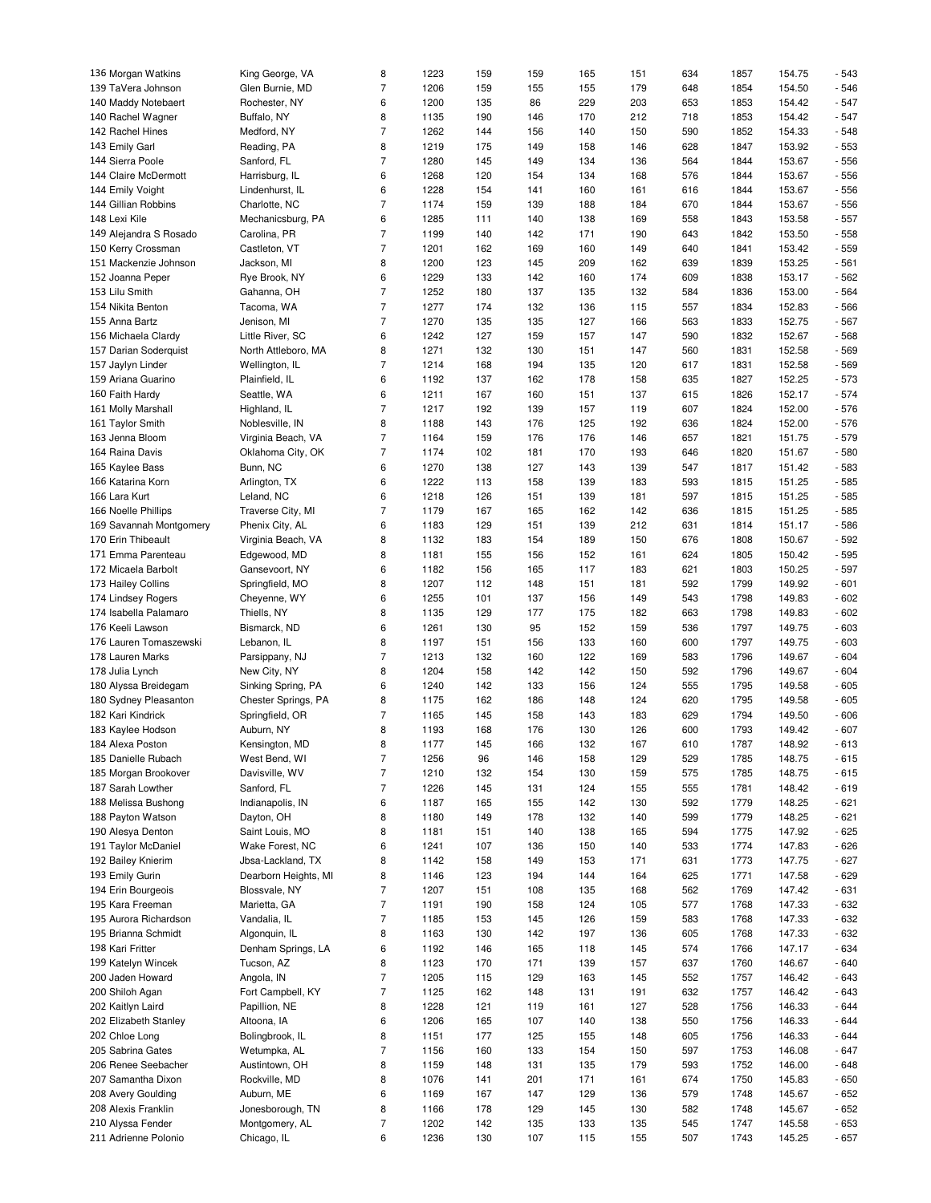| 136 Morgan Watkins      | King George, VA      | 8                | 1223 | 159 | 159 | 165 | 151 | 634 | 1857 | 154.75 | $-543$ |
|-------------------------|----------------------|------------------|------|-----|-----|-----|-----|-----|------|--------|--------|
| 139 TaVera Johnson      | Glen Burnie, MD      | $\overline{7}$   | 1206 | 159 | 155 | 155 | 179 | 648 | 1854 | 154.50 | $-546$ |
| 140 Maddy Notebaert     | Rochester, NY        | 6                | 1200 | 135 | 86  | 229 | 203 | 653 | 1853 | 154.42 | $-547$ |
| 140 Rachel Wagner       | Buffalo, NY          | 8                | 1135 | 190 | 146 | 170 | 212 | 718 | 1853 | 154.42 | $-547$ |
| 142 Rachel Hines        | Medford, NY          | $\overline{7}$   | 1262 | 144 | 156 | 140 | 150 | 590 | 1852 | 154.33 | $-548$ |
|                         |                      | 8                | 1219 | 175 | 149 | 158 | 146 | 628 | 1847 | 153.92 | $-553$ |
| 143 Emily Garl          | Reading, PA          |                  |      |     |     |     |     |     |      |        |        |
| 144 Sierra Poole        | Sanford, FL          | $\overline{7}$   | 1280 | 145 | 149 | 134 | 136 | 564 | 1844 | 153.67 | $-556$ |
| 144 Claire McDermott    | Harrisburg, IL       | 6                | 1268 | 120 | 154 | 134 | 168 | 576 | 1844 | 153.67 | $-556$ |
| 144 Emily Voight        | Lindenhurst, IL      | 6                | 1228 | 154 | 141 | 160 | 161 | 616 | 1844 | 153.67 | $-556$ |
| 144 Gillian Robbins     | Charlotte, NC        | $\overline{7}$   | 1174 | 159 | 139 | 188 | 184 | 670 | 1844 | 153.67 | $-556$ |
| 148 Lexi Kile           | Mechanicsburg, PA    | 6                | 1285 | 111 | 140 | 138 | 169 | 558 | 1843 | 153.58 | $-557$ |
|                         |                      |                  |      |     |     |     |     |     |      |        |        |
| 149 Alejandra S Rosado  | Carolina, PR         | $\overline{7}$   | 1199 | 140 | 142 | 171 | 190 | 643 | 1842 | 153.50 | $-558$ |
| 150 Kerry Crossman      | Castleton, VT        | $\overline{7}$   | 1201 | 162 | 169 | 160 | 149 | 640 | 1841 | 153.42 | $-559$ |
| 151 Mackenzie Johnson   | Jackson, MI          | 8                | 1200 | 123 | 145 | 209 | 162 | 639 | 1839 | 153.25 | $-561$ |
| 152 Joanna Peper        | Rye Brook, NY        | 6                | 1229 | 133 | 142 | 160 | 174 | 609 | 1838 | 153.17 | $-562$ |
| 153 Lilu Smith          | Gahanna, OH          | $\overline{7}$   | 1252 | 180 | 137 | 135 | 132 | 584 | 1836 | 153.00 | $-564$ |
| 154 Nikita Benton       | Tacoma, WA           | $\overline{7}$   | 1277 | 174 | 132 | 136 | 115 | 557 | 1834 | 152.83 | $-566$ |
|                         |                      |                  |      |     |     |     |     |     |      |        |        |
| 155 Anna Bartz          | Jenison, MI          | $\overline{7}$   | 1270 | 135 | 135 | 127 | 166 | 563 | 1833 | 152.75 | $-567$ |
| 156 Michaela Clardy     | Little River, SC     | 6                | 1242 | 127 | 159 | 157 | 147 | 590 | 1832 | 152.67 | $-568$ |
| 157 Darian Soderquist   | North Attleboro, MA  | 8                | 1271 | 132 | 130 | 151 | 147 | 560 | 1831 | 152.58 | $-569$ |
| 157 Jaylyn Linder       | Wellington, IL       | $\overline{7}$   | 1214 | 168 | 194 | 135 | 120 | 617 | 1831 | 152.58 | $-569$ |
| 159 Ariana Guarino      | Plainfield, IL       | 6                | 1192 | 137 | 162 | 178 | 158 | 635 | 1827 | 152.25 | $-573$ |
| 160 Faith Hardy         | Seattle, WA          | 6                | 1211 | 167 | 160 | 151 | 137 | 615 | 1826 | 152.17 | $-574$ |
|                         |                      |                  |      |     |     |     |     |     |      |        |        |
| 161 Molly Marshall      | Highland, IL         | $\overline{7}$   | 1217 | 192 | 139 | 157 | 119 | 607 | 1824 | 152.00 | $-576$ |
| 161 Taylor Smith        | Noblesville, IN      | 8                | 1188 | 143 | 176 | 125 | 192 | 636 | 1824 | 152.00 | $-576$ |
| 163 Jenna Bloom         | Virginia Beach, VA   | $\overline{7}$   | 1164 | 159 | 176 | 176 | 146 | 657 | 1821 | 151.75 | $-579$ |
| 164 Raina Davis         | Oklahoma City, OK    | $\overline{7}$   | 1174 | 102 | 181 | 170 | 193 | 646 | 1820 | 151.67 | $-580$ |
| 165 Kaylee Bass         | Bunn, NC             | 6                | 1270 | 138 | 127 | 143 | 139 | 547 | 1817 | 151.42 | $-583$ |
| 166 Katarina Korn       | Arlington, TX        | 6                | 1222 | 113 | 158 | 139 | 183 | 593 | 1815 | 151.25 | $-585$ |
|                         |                      |                  |      |     |     |     |     |     |      |        |        |
| 166 Lara Kurt           | Leland, NC           | 6                | 1218 | 126 | 151 | 139 | 181 | 597 | 1815 | 151.25 | $-585$ |
| 166 Noelle Phillips     | Traverse City, MI    | $\overline{7}$   | 1179 | 167 | 165 | 162 | 142 | 636 | 1815 | 151.25 | $-585$ |
| 169 Savannah Montgomery | Phenix City, AL      | 6                | 1183 | 129 | 151 | 139 | 212 | 631 | 1814 | 151.17 | $-586$ |
| 170 Erin Thibeault      | Virginia Beach, VA   | 8                | 1132 | 183 | 154 | 189 | 150 | 676 | 1808 | 150.67 | $-592$ |
| 171 Emma Parenteau      | Edgewood, MD         | 8                | 1181 | 155 | 156 | 152 | 161 | 624 | 1805 | 150.42 | $-595$ |
| 172 Micaela Barbolt     | Gansevoort, NY       | 6                | 1182 | 156 | 165 | 117 | 183 | 621 | 1803 | 150.25 | $-597$ |
|                         |                      |                  |      |     |     |     |     |     |      |        |        |
| 173 Hailey Collins      | Springfield, MO      | 8                | 1207 | 112 | 148 | 151 | 181 | 592 | 1799 | 149.92 | $-601$ |
| 174 Lindsey Rogers      | Cheyenne, WY         | 6                | 1255 | 101 | 137 | 156 | 149 | 543 | 1798 | 149.83 | $-602$ |
| 174 Isabella Palamaro   | Thiells, NY          | 8                | 1135 | 129 | 177 | 175 | 182 | 663 | 1798 | 149.83 | $-602$ |
| 176 Keeli Lawson        | Bismarck, ND         | 6                | 1261 | 130 | 95  | 152 | 159 | 536 | 1797 | 149.75 | $-603$ |
| 176 Lauren Tomaszewski  | Lebanon, IL          | 8                | 1197 | 151 | 156 | 133 | 160 | 600 | 1797 | 149.75 | $-603$ |
| 178 Lauren Marks        | Parsippany, NJ       | $\overline{7}$   | 1213 | 132 | 160 | 122 | 169 | 583 | 1796 | 149.67 | $-604$ |
|                         |                      |                  | 1204 |     |     |     |     | 592 | 1796 |        |        |
| 178 Julia Lynch         | New City, NY         | 8                |      | 158 | 142 | 142 | 150 |     |      | 149.67 | $-604$ |
| 180 Alyssa Breidegam    | Sinking Spring, PA   | 6                | 1240 | 142 | 133 | 156 | 124 | 555 | 1795 | 149.58 | $-605$ |
| 180 Sydney Pleasanton   | Chester Springs, PA  | 8                | 1175 | 162 | 186 | 148 | 124 | 620 | 1795 | 149.58 | $-605$ |
| 182 Kari Kindrick       | Springfield, OR      | $\overline{7}$   | 1165 | 145 | 158 | 143 | 183 | 629 | 1794 | 149.50 | $-606$ |
| 183 Kaylee Hodson       | Auburn, NY           | 8                | 1193 | 168 | 176 | 130 | 126 | 600 | 1793 | 149.42 | $-607$ |
| 184 Alexa Poston        | Kensington, MD       | 8                | 1177 | 145 | 166 | 132 | 167 | 610 | 1787 | 148.92 | $-613$ |
|                         |                      | $\boldsymbol{7}$ |      |     |     |     |     |     |      |        |        |
| 185 Danielle Rubach     | West Bend, WI        |                  | 1256 | 96  | 146 | 158 | 129 | 529 | 1785 | 148.75 | $-615$ |
| 185 Morgan Brookover    | Davisville, WV       | $\overline{7}$   | 1210 | 132 | 154 | 130 | 159 | 575 | 1785 | 148.75 | $-615$ |
| 187 Sarah Lowther       | Sanford, FL          | $\overline{7}$   | 1226 | 145 | 131 | 124 | 155 | 555 | 1781 | 148.42 | $-619$ |
| 188 Melissa Bushong     | Indianapolis, IN     | 6                | 1187 | 165 | 155 | 142 | 130 | 592 | 1779 | 148.25 | $-621$ |
| 188 Payton Watson       | Dayton, OH           | 8                | 1180 | 149 | 178 | 132 | 140 | 599 | 1779 | 148.25 | $-621$ |
| 190 Alesya Denton       | Saint Louis, MO      | 8                | 1181 | 151 | 140 | 138 | 165 | 594 | 1775 | 147.92 | $-625$ |
| 191 Taylor McDaniel     | Wake Forest, NC      | 6                | 1241 | 107 | 136 | 150 | 140 | 533 | 1774 | 147.83 | $-626$ |
|                         |                      |                  |      |     |     |     |     |     |      |        |        |
| 192 Bailey Knierim      | Jbsa-Lackland, TX    | 8                | 1142 | 158 | 149 | 153 | 171 | 631 | 1773 | 147.75 | $-627$ |
| 193 Emily Gurin         | Dearborn Heights, MI | 8                | 1146 | 123 | 194 | 144 | 164 | 625 | 1771 | 147.58 | $-629$ |
| 194 Erin Bourgeois      | Blossvale, NY        | $\overline{7}$   | 1207 | 151 | 108 | 135 | 168 | 562 | 1769 | 147.42 | $-631$ |
| 195 Kara Freeman        | Marietta, GA         | $\overline{7}$   | 1191 | 190 | 158 | 124 | 105 | 577 | 1768 | 147.33 | $-632$ |
| 195 Aurora Richardson   | Vandalia, IL         | $\overline{7}$   | 1185 | 153 | 145 | 126 | 159 | 583 | 1768 | 147.33 | $-632$ |
| 195 Brianna Schmidt     | Algonquin, IL        | 8                | 1163 | 130 | 142 | 197 | 136 | 605 | 1768 | 147.33 | $-632$ |
|                         |                      | 6                |      |     |     |     |     | 574 |      |        | $-634$ |
| 198 Kari Fritter        | Denham Springs, LA   |                  | 1192 | 146 | 165 | 118 | 145 |     | 1766 | 147.17 |        |
| 199 Katelyn Wincek      | Tucson, AZ           | 8                | 1123 | 170 | 171 | 139 | 157 | 637 | 1760 | 146.67 | $-640$ |
| 200 Jaden Howard        | Angola, IN           | $\overline{7}$   | 1205 | 115 | 129 | 163 | 145 | 552 | 1757 | 146.42 | $-643$ |
| 200 Shiloh Agan         | Fort Campbell, KY    | $\overline{7}$   | 1125 | 162 | 148 | 131 | 191 | 632 | 1757 | 146.42 | $-643$ |
| 202 Kaitlyn Laird       | Papillion, NE        | 8                | 1228 | 121 | 119 | 161 | 127 | 528 | 1756 | 146.33 | $-644$ |
| 202 Elizabeth Stanley   | Altoona, IA          | 6                | 1206 | 165 | 107 | 140 | 138 | 550 | 1756 | 146.33 | $-644$ |
| 202 Chloe Long          | Bolingbrook, IL      | 8                | 1151 | 177 | 125 | 155 | 148 | 605 | 1756 | 146.33 | $-644$ |
|                         |                      |                  |      |     |     |     |     |     |      |        |        |
| 205 Sabrina Gates       | Wetumpka, AL         | $\overline{7}$   | 1156 | 160 | 133 | 154 | 150 | 597 | 1753 | 146.08 | $-647$ |
| 206 Renee Seebacher     | Austintown, OH       | 8                | 1159 | 148 | 131 | 135 | 179 | 593 | 1752 | 146.00 | $-648$ |
| 207 Samantha Dixon      | Rockville, MD        | 8                | 1076 | 141 | 201 | 171 | 161 | 674 | 1750 | 145.83 | $-650$ |
| 208 Avery Goulding      | Auburn, ME           | 6                | 1169 | 167 | 147 | 129 | 136 | 579 | 1748 | 145.67 | $-652$ |
| 208 Alexis Franklin     | Jonesborough, TN     | 8                | 1166 | 178 | 129 | 145 | 130 | 582 | 1748 | 145.67 | $-652$ |
| 210 Alyssa Fender       | Montgomery, AL       | $\overline{7}$   | 1202 | 142 | 135 | 133 | 135 | 545 | 1747 | 145.58 | $-653$ |
| 211 Adrienne Polonio    | Chicago, IL          | 6                | 1236 | 130 | 107 | 115 | 155 | 507 | 1743 | 145.25 | $-657$ |
|                         |                      |                  |      |     |     |     |     |     |      |        |        |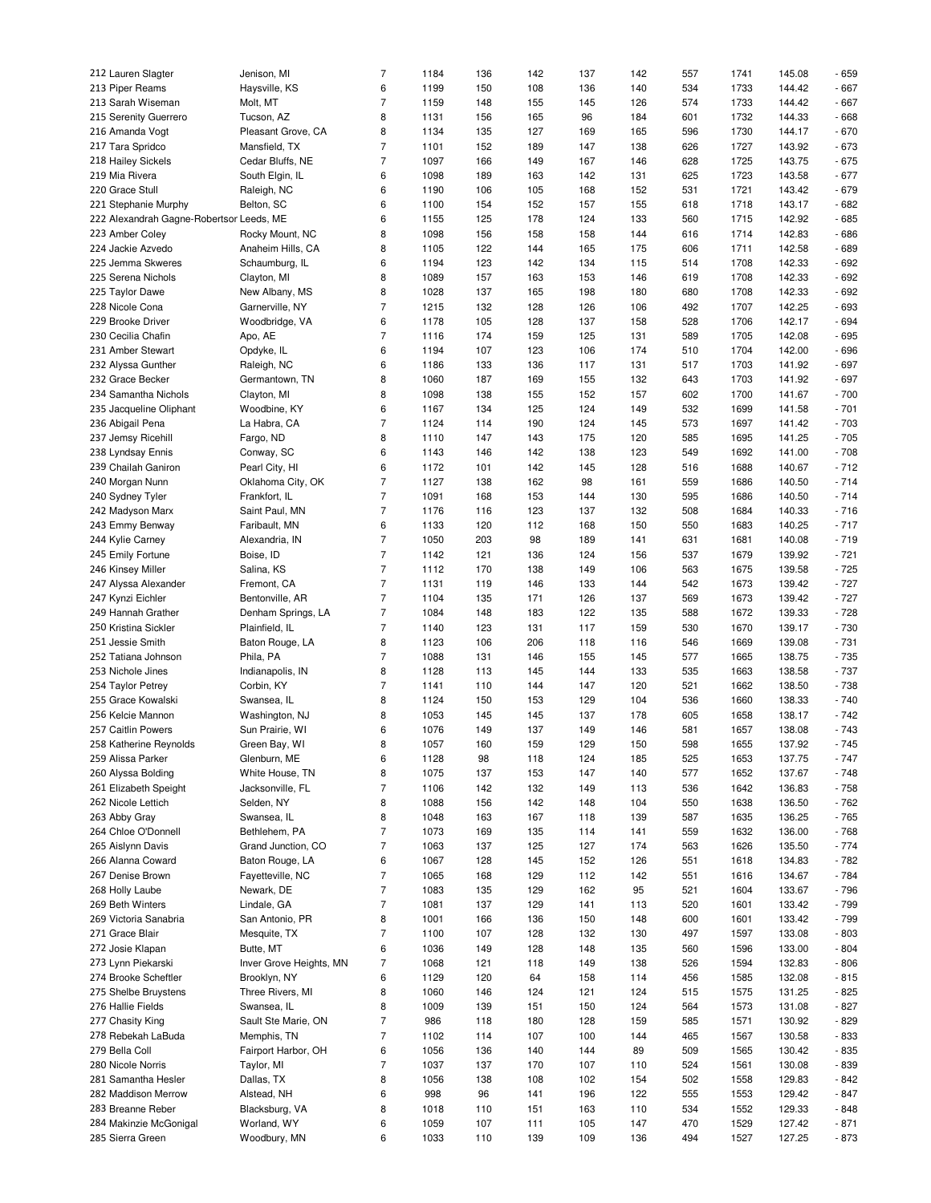| 212 Lauren Slagter                         | Jenison, MI                 | $\overline{7}$ | 1184         | 136        | 142        | 137        | 142        | 557        | 1741         | 145.08           | $-659$           |
|--------------------------------------------|-----------------------------|----------------|--------------|------------|------------|------------|------------|------------|--------------|------------------|------------------|
|                                            |                             |                |              |            |            |            |            |            |              |                  |                  |
| 213 Piper Reams                            | Haysville, KS               | 6              | 1199         | 150        | 108        | 136        | 140        | 534        | 1733         | 144.42           | $-667$           |
| 213 Sarah Wiseman                          | Molt, MT                    | $\overline{7}$ | 1159         | 148        | 155        | 145        | 126        | 574        | 1733         | 144.42           | $-667$           |
| 215 Serenity Guerrero                      | Tucson, AZ                  | 8              | 1131         | 156        | 165        | 96         | 184        | 601        | 1732         | 144.33           | $-668$           |
| 216 Amanda Vogt                            | Pleasant Grove, CA          | 8              | 1134         | 135        | 127        | 169        | 165        | 596        | 1730         | 144.17           | $-670$           |
| 217 Tara Spridco                           | Mansfield, TX               | $\overline{7}$ | 1101         | 152        | 189        | 147        | 138        | 626        | 1727         | 143.92           | $-673$           |
|                                            |                             |                |              |            |            |            |            |            |              |                  |                  |
| 218 Hailey Sickels                         | Cedar Bluffs, NE            | $\overline{7}$ | 1097         | 166        | 149        | 167        | 146        | 628        | 1725         | 143.75           | $-675$           |
| 219 Mia Rivera                             | South Elgin, IL             | 6              | 1098         | 189        | 163        | 142        | 131        | 625        | 1723         | 143.58           | $-677$           |
| 220 Grace Stull                            | Raleigh, NC                 | 6              | 1190         | 106        | 105        | 168        | 152        | 531        | 1721         | 143.42           | $-679$           |
| 221 Stephanie Murphy                       | Belton, SC                  | 6              | 1100         | 154        | 152        | 157        | 155        | 618        | 1718         | 143.17           | $-682$           |
| 222 Alexandrah Gagne-Robertsor Leeds, ME   |                             | 6              | 1155         | 125        | 178        | 124        | 133        | 560        | 1715         | 142.92           | $-685$           |
|                                            |                             |                |              |            |            |            |            |            |              |                  |                  |
| 223 Amber Coley                            | Rocky Mount, NC             | 8              | 1098         | 156        | 158        | 158        | 144        | 616        | 1714         | 142.83           | $-686$           |
| 224 Jackie Azvedo                          | Anaheim Hills, CA           | 8              | 1105         | 122        | 144        | 165        | 175        | 606        | 1711         | 142.58           | $-689$           |
| 225 Jemma Skweres                          | Schaumburg, IL              | 6              | 1194         | 123        | 142        | 134        | 115        | 514        | 1708         | 142.33           | $-692$           |
| 225 Serena Nichols                         | Clayton, MI                 | 8              | 1089         | 157        | 163        | 153        | 146        | 619        | 1708         | 142.33           | $-692$           |
| 225 Taylor Dawe                            | New Albany, MS              | 8              | 1028         | 137        | 165        | 198        | 180        | 680        | 1708         | 142.33           | $-692$           |
|                                            |                             |                |              |            |            |            |            |            |              |                  |                  |
| 228 Nicole Cona                            | Garnerville, NY             | $\overline{7}$ | 1215         | 132        | 128        | 126        | 106        | 492        | 1707         | 142.25           | $-693$           |
| 229 Brooke Driver                          | Woodbridge, VA              | 6              | 1178         | 105        | 128        | 137        | 158        | 528        | 1706         | 142.17           | $-694$           |
| 230 Cecilia Chafin                         | Apo, AE                     | $\overline{7}$ | 1116         | 174        | 159        | 125        | 131        | 589        | 1705         | 142.08           | $-695$           |
| 231 Amber Stewart                          | Opdyke, IL                  | 6              | 1194         | 107        | 123        | 106        | 174        | 510        | 1704         | 142.00           | $-696$           |
| 232 Alyssa Gunther                         | Raleigh, NC                 | 6              | 1186         | 133        | 136        | 117        | 131        | 517        | 1703         | 141.92           | $-697$           |
|                                            |                             |                |              |            |            |            |            |            |              |                  |                  |
| 232 Grace Becker                           | Germantown, TN              | 8              | 1060         | 187        | 169        | 155        | 132        | 643        | 1703         | 141.92           | $-697$           |
| 234 Samantha Nichols                       | Clayton, MI                 | 8              | 1098         | 138        | 155        | 152        | 157        | 602        | 1700         | 141.67           | $-700$           |
| 235 Jacqueline Oliphant                    | Woodbine, KY                | 6              | 1167         | 134        | 125        | 124        | 149        | 532        | 1699         | 141.58           | $-701$           |
| 236 Abigail Pena                           | La Habra, CA                | 7              | 1124         | 114        | 190        | 124        | 145        | 573        | 1697         | 141.42           | $-703$           |
| 237 Jemsy Ricehill                         | Fargo, ND                   | 8              | 1110         | 147        | 143        | 175        | 120        | 585        | 1695         | 141.25           | $-705$           |
|                                            |                             |                |              |            |            |            |            |            |              |                  |                  |
| 238 Lyndsay Ennis                          | Conway, SC                  | 6              | 1143         | 146        | 142        | 138        | 123        | 549        | 1692         | 141.00           | $-708$           |
| 239 Chailah Ganiron                        | Pearl City, HI              | 6              | 1172         | 101        | 142        | 145        | 128        | 516        | 1688         | 140.67           | $-712$           |
| 240 Morgan Nunn                            | Oklahoma City, OK           | $\overline{7}$ | 1127         | 138        | 162        | 98         | 161        | 559        | 1686         | 140.50           | $-714$           |
| 240 Sydney Tyler                           | Frankfort, IL               | $\overline{7}$ | 1091         | 168        | 153        | 144        | 130        | 595        | 1686         | 140.50           | $-714$           |
| 242 Madyson Marx                           | Saint Paul, MN              | $\overline{7}$ | 1176         | 116        | 123        | 137        | 132        | 508        | 1684         | 140.33           | $-716$           |
|                                            |                             |                |              |            |            |            |            |            |              |                  |                  |
| 243 Emmy Benway                            | Faribault, MN               | 6              | 1133         | 120        | 112        | 168        | 150        | 550        | 1683         | 140.25           | $-717$           |
| 244 Kylie Carney                           | Alexandria, IN              | $\overline{7}$ | 1050         | 203        | 98         | 189        | 141        | 631        | 1681         | 140.08           | $-719$           |
| 245 Emily Fortune                          | Boise, ID                   | $\overline{7}$ | 1142         | 121        | 136        | 124        | 156        | 537        | 1679         | 139.92           | $-721$           |
| 246 Kinsey Miller                          | Salina, KS                  | $\overline{7}$ | 1112         | 170        | 138        | 149        | 106        | 563        | 1675         | 139.58           | $-725$           |
| 247 Alyssa Alexander                       | Fremont, CA                 | $\overline{7}$ | 1131         | 119        | 146        | 133        | 144        | 542        | 1673         | 139.42           | $-727$           |
|                                            |                             |                |              |            |            |            |            |            |              |                  |                  |
| 247 Kynzi Eichler                          | Bentonville, AR             | $\overline{7}$ | 1104         | 135        | 171        | 126        | 137        | 569        | 1673         | 139.42           | $-727$           |
| 249 Hannah Grather                         | Denham Springs, LA          | $\overline{7}$ | 1084         | 148        | 183        | 122        | 135        | 588        | 1672         | 139.33           | $-728$           |
| 250 Kristina Sickler                       | Plainfield, IL              | $\overline{7}$ | 1140         | 123        | 131        | 117        | 159        | 530        | 1670         | 139.17           | $-730$           |
| 251 Jessie Smith                           | Baton Rouge, LA             | 8              | 1123         | 106        | 206        | 118        | 116        | 546        | 1669         | 139.08           | $-731$           |
| 252 Tatiana Johnson                        | Phila, PA                   | $\overline{7}$ | 1088         | 131        | 146        | 155        | 145        | 577        | 1665         | 138.75           | $-735$           |
|                                            |                             |                |              |            |            |            |            |            |              |                  |                  |
| 253 Nichole Jines                          | Indianapolis, IN            | 8              | 1128         | 113        | 145        | 144        | 133        | 535        | 1663         | 138.58           | $-737$           |
| 254 Taylor Petrey                          | Corbin, KY                  | $\overline{7}$ | 1141         | 110        | 144        | 147        | 120        | 521        | 1662         | 138.50           | $-738$           |
| 255 Grace Kowalski                         | Swansea, IL                 | 8              | 1124         | 150        | 153        | 129        | 104        | 536        | 1660         | 138.33           | $-740$           |
| 256 Kelcie Mannon                          | Washington, NJ              | 8              | 1053         | 145        | 145        | 137        | 178        | 605        | 1658         | 138.17           | $-742$           |
| 257 Caitlin Powers                         | Sun Prairie, WI             | 6              | 1076         | 149        | 137        | 149        | 146        | 581        | 1657         | 138.08           | $-743$           |
|                                            |                             | 8              |              |            |            |            |            |            |              |                  |                  |
| 258 Katherine Reynolds                     | Green Bay, WI               |                | 1057         | 160        | 159        | 129        | 150        | 598        | 1655         | 137.92           | $-745$           |
| 259 Alissa Parker                          | Glenburn, ME                | 6              | 1128         | 98         | 118        | 124        | 185        | 525        | 1653         | 137.75           | $-747$           |
| 260 Alyssa Bolding                         | White House, TN             | 8              | 1075         | 137        | 153        | 147        | 140        | 577        | 1652         | 137.67           | $-748$           |
| 261 Elizabeth Speight                      | Jacksonville, FL            | $\overline{7}$ | 1106         | 142        | 132        | 149        | 113        | 536        | 1642         | 136.83           | $-758$           |
| 262 Nicole Lettich                         | Selden, NY                  | 8              | 1088         | 156        | 142        | 148        | 104        | 550        | 1638         | 136.50           | $-762$           |
|                                            |                             |                |              |            |            |            |            |            |              |                  |                  |
| 263 Abby Gray                              | Swansea, IL                 | 8              | 1048         | 163        | 167        | 118        | 139        | 587        | 1635         | 136.25           | $-765$           |
| 264 Chloe O'Donnell                        | Bethlehem, PA               | $\overline{7}$ | 1073         | 169        | 135        | 114        | 141        | 559        | 1632         | 136.00           | $-768$           |
| 265 Aislynn Davis                          | Grand Junction, CO          | $\overline{7}$ | 1063         | 137        | 125        | 127        | 174        | 563        | 1626         | 135.50           | $-774$           |
| 266 Alanna Coward                          | Baton Rouge, LA             | 6              | 1067         | 128        | 145        | 152        | 126        | 551        | 1618         | 134.83           | $-782$           |
| 267 Denise Brown                           | Fayetteville, NC            | $\overline{7}$ | 1065         | 168        | 129        | 112        | 142        | 551        | 1616         | 134.67           | $-784$           |
| 268 Holly Laube                            | Newark, DE                  | $\overline{7}$ | 1083         | 135        | 129        | 162        | 95         | 521        | 1604         | 133.67           | $-796$           |
|                                            |                             |                |              |            |            |            |            |            |              |                  |                  |
| 269 Beth Winters                           | Lindale, GA                 | $\overline{7}$ | 1081         | 137        | 129        | 141        | 113        | 520        | 1601         | 133.42           | $-799$           |
| 269 Victoria Sanabria                      | San Antonio, PR             | 8              | 1001         | 166        | 136        | 150        | 148        | 600        | 1601         | 133.42           | $-799$           |
| 271 Grace Blair                            | Mesquite, TX                | $\overline{7}$ | 1100         | 107        | 128        | 132        | 130        | 497        | 1597         | 133.08           | $-803$           |
| 272 Josie Klapan                           | Butte, MT                   | 6              | 1036         | 149        | 128        | 148        | 135        | 560        | 1596         | 133.00           | $-804$           |
| 273 Lynn Piekarski                         | Inver Grove Heights, MN     | $\overline{7}$ | 1068         | 121        | 118        | 149        | 138        | 526        | 1594         | 132.83           | $-806$           |
|                                            |                             |                |              |            |            |            |            |            |              |                  |                  |
| 274 Brooke Scheftler                       | Brooklyn, NY                | 6              | 1129         | 120        | 64         | 158        | 114        | 456        | 1585         | 132.08           | $-815$           |
| 275 Shelbe Bruystens                       | Three Rivers, MI            | 8              | 1060         | 146        | 124        | 121        | 124        | 515        | 1575         | 131.25           | $-825$           |
| 276 Hallie Fields                          | Swansea, IL                 | 8              | 1009         | 139        | 151        | 150        | 124        | 564        | 1573         | 131.08           | $-827$           |
| 277 Chasity King                           | Sault Ste Marie, ON         | $\overline{7}$ | 986          | 118        | 180        | 128        | 159        | 585        | 1571         | 130.92           | $-829$           |
| 278 Rebekah LaBuda                         | Memphis, TN                 | $\overline{7}$ | 1102         | 114        | 107        | 100        | 144        | 465        | 1567         | 130.58           | - 833            |
|                                            | Fairport Harbor, OH         |                |              |            |            |            |            |            |              |                  |                  |
|                                            |                             | 6              | 1056         | 136        | 140        | 144        | 89         | 509        | 1565         | 130.42           | $-835$           |
| 279 Bella Coll                             |                             |                |              |            |            |            |            |            |              |                  |                  |
| 280 Nicole Norris                          | Taylor, MI                  | $\overline{7}$ | 1037         | 137        | 170        | 107        | 110        | 524        | 1561         | 130.08           | - 839            |
| 281 Samantha Hesler                        | Dallas, TX                  | 8              | 1056         | 138        | 108        | 102        | 154        | 502        | 1558         | 129.83           | $-842$           |
| 282 Maddison Merrow                        | Alstead, NH                 | 6              | 998          | 96         | 141        | 196        | 122        | 555        | 1553         | 129.42           | $-847$           |
|                                            |                             |                |              |            |            |            |            |            |              |                  |                  |
| 283 Breanne Reber                          | Blacksburg, VA              | 8              | 1018         | 110        | 151        | 163        | 110        | 534        | 1552         | 129.33           | $-848$           |
| 284 Makinzie McGonigal<br>285 Sierra Green | Worland, WY<br>Woodbury, MN | 6<br>6         | 1059<br>1033 | 107<br>110 | 111<br>139 | 105<br>109 | 147<br>136 | 470<br>494 | 1529<br>1527 | 127.42<br>127.25 | $-871$<br>$-873$ |